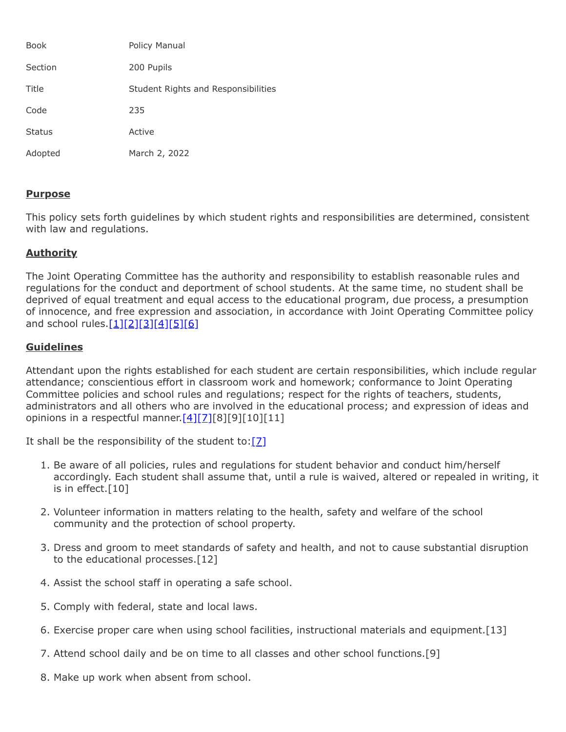| <b>Book</b>   | Policy Manual                       |
|---------------|-------------------------------------|
| Section       | 200 Pupils                          |
| Title         | Student Rights and Responsibilities |
| Code          | 235                                 |
| <b>Status</b> | Active                              |
| Adopted       | March 2, 2022                       |

## **Purpose**

This policy sets forth guidelines by which student rights and responsibilities are determined, consistent with law and regulations.

## **Authority**

The Joint Operating Committee has the authority and responsibility to establish reasonable rules and regulations for the conduct and deportment of school students. At the same time, no student shall be deprived of equal treatment and equal access to the educational program, due process, a presumption of innocence, and free expression and association, in accordance with Joint Operating Committee policy and school rules. $[1][2][3][4][5][6]$  $[1][2][3][4][5][6]$  $[1][2][3][4][5][6]$  $[1][2][3][4][5][6]$  $[1][2][3][4][5][6]$  $[1][2][3][4][5][6]$ 

## **Guidelines**

Attendant upon the rights established for each student are certain responsibilities, which include regular attendance; conscientious effort in classroom work and homework; conformance to Joint Operating Committee policies and school rules and regulations; respect for the rights of teachers, students, administrators and all others who are involved in the educational process; and expression of ideas and opinions in a respectful manner. $[4][7][8][9][10][11]$  $[4][7][8][9][10][11]$  $[4][7][8][9][10][11]$ 

It shall be the responsibility of the student to:  $[2]$ 

- 1. Be aware of all policies, rules and regulations for student behavior and conduct him/herself accordingly. Each student shall assume that, until a rule is waived, altered or repealed in writing, it is in effect.[10]
- 2. Volunteer information in matters relating to the health, safety and welfare of the school community and the protection of school property.
- 3. Dress and groom to meet standards of safety and health, and not to cause substantial disruption to the educational processes.[12]
- 4. Assist the school staff in operating a safe school.
- 5. Comply with federal, state and local laws.
- 6. Exercise proper care when using school facilities, instructional materials and equipment.[13]
- 7. Attend school daily and be on time to all classes and other school functions.[9]
- 8. Make up work when absent from school.